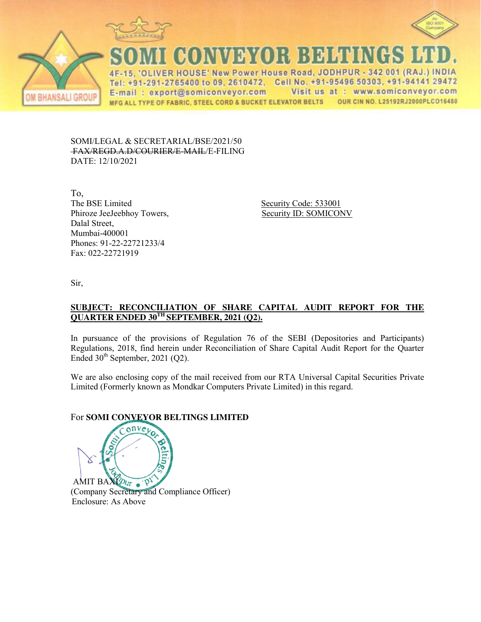





CONVEYOR BELTINGS

IVER HOUSE' New Power House Road, JODHPUR - 342 001 (RAJ.) INDIA  $\Delta F$ Tel: +91-291-2765400 to 09, 2610472, Cell No. +91-95496 50303, +91-94141 29472 Visit us at : www.somiconveyor.com E-mail: export@somiconveyor.com OUR CIN NO. L25192RJ2000PLCO16480 MFG ALL TYPE OF FABRIC, STEEL CORD & BUCKET ELEVATOR BELTS

SOMI/LEGAL & SECRETARIAL/BSE/2021/50 FAX/REGD.A.D/COURIER/E-MAIL/E-FILING DATE: 12/10/2021

To, The BSE Limited Security Code: 533001 Phiroze JeeJeebhoy Towers, Security ID: SOMICONV Dalal Street, Mumbai-400001 Phones: 91-22-22721233/4 Fax: 022-22721919

Sir,

## **SUBJECT: RECONCILIATION OF SHARE CAPITAL AUDIT REPORT FOR THE QUARTER ENDED 30TH SEPTEMBER, 2021 (Q2).**

In pursuance of the provisions of Regulation 76 of the SEBI (Depositories and Participants) Regulations, 2018, find herein under Reconciliation of Share Capital Audit Report for the Quarter Ended  $30<sup>th</sup>$  September, 2021 (Q2).

We are also enclosing copy of the mail received from our RTA Universal Capital Securities Private Limited (Formerly known as Mondkar Computers Private Limited) in this regard.

# For **SOMI CONVEYOR BELTINGS LIMITED**

AMIT BAXYOUT . P (Company Secretary and Compliance Officer) Enclosure: As Above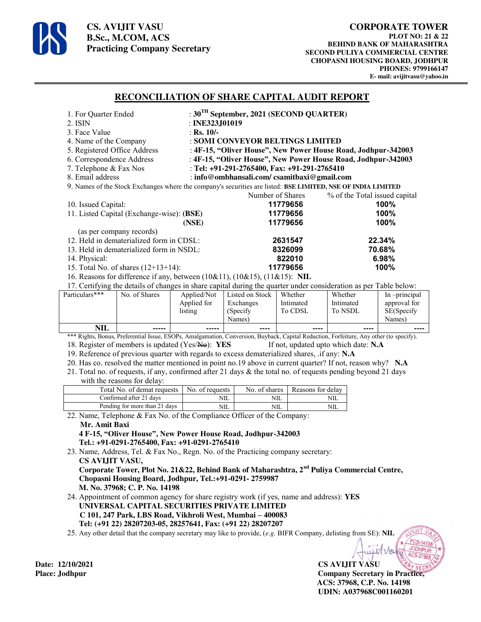

**CS. AVIJIT VASU B.Sc., M.COM, ACS Practicing Company Secretary** 

#### **RECONCILIATION OF SHARE CAPITAL AUDIT REPORT**

| 1. For Quarter Ended                                                                                              | : $30^{\text{TH}}$ September, 2021 (SECOND QUARTER)           |                               |  |  |  |
|-------------------------------------------------------------------------------------------------------------------|---------------------------------------------------------------|-------------------------------|--|--|--|
| 2. ISIN                                                                                                           | : INE323J01019                                                |                               |  |  |  |
| 3. Face Value                                                                                                     | : Rs. $10/-$                                                  |                               |  |  |  |
| 4. Name of the Company                                                                                            | : SOMI CONVEYOR BELTINGS LIMITED                              |                               |  |  |  |
| 5. Registered Office Address                                                                                      | : 4F-15, "Oliver House", New Power House Road, Jodhpur-342003 |                               |  |  |  |
| 6. Correspondence Address                                                                                         | : 4F-15, "Oliver House", New Power House Road, Jodhpur-342003 |                               |  |  |  |
| 7. Telephone & Fax Nos                                                                                            | : Tel: +91-291-2765400, Fax: +91-291-2765410                  |                               |  |  |  |
| 8. Email address                                                                                                  | : info@ombhansali.com/csamitbaxi@gmail.com                    |                               |  |  |  |
| 9. Names of the Stock Exchanges where the company's securities are listed: BSE LIMITED, NSE OF INDIA LIMITED      |                                                               |                               |  |  |  |
|                                                                                                                   | Number of Shares                                              | % of the Total issued capital |  |  |  |
| 10. Issued Capital:                                                                                               | 11779656                                                      | $100\%$                       |  |  |  |
| 11. Listed Capital (Exchange-wise): (BSE)                                                                         | 11779656                                                      | $100\%$                       |  |  |  |
| 11779656<br>(NSE)                                                                                                 |                                                               | 100%                          |  |  |  |
| (as per company records)                                                                                          |                                                               |                               |  |  |  |
| 12. Held in dematerialized form in CDSL:<br>2631547                                                               |                                                               | 22.34%                        |  |  |  |
| 13. Held in dematerialized form in NSDL:                                                                          | 8326099                                                       | 70.68%                        |  |  |  |
| 14. Physical:                                                                                                     | 822010                                                        | 6.98%                         |  |  |  |
| 15. Total No. of shares $(12+13+14)$ :                                                                            | 11779656                                                      | 100%                          |  |  |  |
| 16. Reasons for difference if any, between (10&11), (10&15), (11&15): NIL                                         |                                                               |                               |  |  |  |
| 17. Certifying the details of changes in share capital during the quarter under consideration as per Table below: |                                                               |                               |  |  |  |

| Particulars*** | No. of Shares | Applied/Not | Listed on Stock | Whether   | Whether   | In -principal |
|----------------|---------------|-------------|-----------------|-----------|-----------|---------------|
|                |               | Applied for | Exchanges       | Intimated | Intimated | approval for  |
|                |               | listing     | (Specify)       | To CDSL   | To NSDL   | SE(Specify    |
|                |               |             | Names)          |           |           | Names)        |
| <b>NIL</b>     | $- - - - -$   | -----       | ----            | ----      | ----      | ----          |

\*\*\* Rights, Bonus, Preferential Issue, ESOPs, Amalgamation, Conversion, Buyback, Capital Reduction, Forfeiture, Any other (to specify). 18. Register of members is updated (Yes/No): **YES** If not, updated upto which date: **N.A** 

19. Reference of previous quarter with regards to excess dematerialized shares, .if any: **N.A**

20. Has co. resolved the matter mentioned in point no.19 above in current quarter? If not, reason why? **N.A**

21. Total no. of requests, if any, confirmed after 21 days & the total no. of requests pending beyond 21 days with the reasons for delay:

| Total No. of demat requests   | No. of requests | No. of shares | Reasons for delay |
|-------------------------------|-----------------|---------------|-------------------|
| Confirmed after 21 days       | NIL             | NIL           |                   |
| Pending for more than 21 days | NIL             | NIL           |                   |

22. Name, Telephone & Fax No. of the Compliance Officer of the Company:

#### **Mr. Amit Baxi**

 **4 F-15, "Oliver House", New Power House Road, Jodhpur-342003 Tel.: +91-0291-2765400, Fax: +91-0291-2765410** 

23. Name, Address, Tel. & Fax No., Regn. No. of the Practicing company secretary:  **CS AVIJIT VASU, Corporate Tower, Plot No. 21&22, Behind Bank of Maharashtra, 2nd Puliya Commercial Centre, Chopasni Housing Board, Jodhpur, Tel.:+91-0291- 2759987 M. No. 37968; C. P. No. 14198** 

24. Appointment of common agency for share registry work (if yes, name and address): **YES UNIVERSAL CAPITAL SECURITIES PRIVATE LIMITED C 101, 247 Park, LBS Road, Vikhroli West, Mumbai – 400083 Tel: (+91 22) 28207203-05, 28257641, Fax: (+91 22) 28207207**

25. Any other detail that the company secretary may like to provide, (*e.g.* BIFR Company, delisting from SE): **NIL**

**Date: 12/10/2021 CS AVIJIT VASU Place: Jodhpur Company Secretary in Practice, ACS: 37968, C.P. No. 14198 UDIN: A037968C001160201**